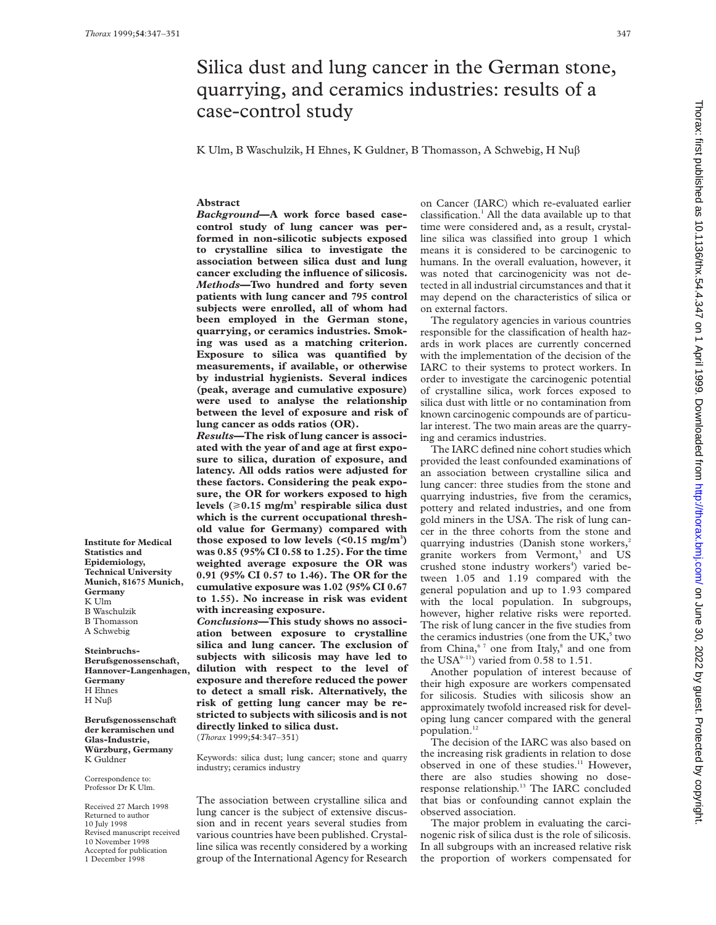**Institute for Medical Statistics and Epidemiology, Technical University Munich, 81675 Munich,**

**Germany** K Ulm B Waschulzik B Thomasson A Schwebig **Steinbruchs-Berufsgenossenschaft, Hannover-Langenhagen,**

**Germany** H Ehnes H  $Nu\beta$ 

K Guldner Correspondence to: Professor Dr K Ulm. Received 27 March 1998 Returned to author 10 July 1998

**Berufsgenossenschaft der keramischen und Glas-Industrie, Würzburg, Germany**

Revised manuscript received 10 November 1998 Accepted for publication 1 December 1998

# Silica dust and lung cancer in the German stone, quarrying, and ceramics industries: results of a case-control study

K Ulm, B Waschulzik, H Ehnes, K Guldner, B Thomasson, A Schwebig, H Nuâ

# **Abstract**

*Background***—A work force based casecontrol study of lung cancer was performed in non-silicotic subjects exposed to crystalline silica to investigate the association between silica dust and lung cancer excluding the influence of silicosis.** *Methods***—Two hundred and forty seven patients with lung cancer and 795 control subjects were enrolled, all of whom had been employed in the German stone, quarrying, or ceramics industries. Smoking was used as a matching criterion. Exposure to silica was quantified by measurements, if available, or otherwise by industrial hygienists. Several indices (peak, average and cumulative exposure) were used to analyse the relationship between the level of exposure and risk of lung cancer as odds ratios (OR).**

*Results***—The risk of lung cancer is associated with the year of and age at first exposure to silica, duration of exposure, and latency. All odds ratios were adjusted for these factors. Considering the peak exposure, the OR for workers exposed to high** levels  $(\geq 0.15 \text{ mg/m}^3 \text{ responsible silica dust})$ **which is the current occupational threshold value for Germany) compared with those exposed to low levels (<0.15 mg/m3 ) was 0.85 (95% CI 0.58 to 1.25). For the time weighted average exposure the OR was 0.91 (95% CI 0.57 to 1.46). The OR for the cumulative exposure was 1.02 (95% CI 0.67 to 1.55). No increase in risk was evident with increasing exposure.**

*Conclusions***—This study shows no association between exposure to crystalline silica and lung cancer. The exclusion of subjects with silicosis may have led to dilution with respect to the level of exposure and therefore reduced the power to detect a small risk. Alternatively, the risk of getting lung cancer may be restricted to subjects with silicosis and is not directly linked to silica dust.** (*Thorax* 1999;**54**:347–351)

Keywords: silica dust; lung cancer; stone and quarry industry; ceramics industry

The association between crystalline silica and lung cancer is the subject of extensive discussion and in recent years several studies from various countries have been published. Crystalline silica was recently considered by a working group of the International Agency for Research on Cancer (IARC) which re-evaluated earlier classification.<sup>1</sup> All the data available up to that time were considered and, as a result, crystalline silica was classified into group 1 which means it is considered to be carcinogenic to humans. In the overall evaluation, however, it was noted that carcinogenicity was not detected in all industrial circumstances and that it may depend on the characteristics of silica or on external factors.

The regulatory agencies in various countries responsible for the classification of health hazards in work places are currently concerned with the implementation of the decision of the IARC to their systems to protect workers. In order to investigate the carcinogenic potential of crystalline silica, work forces exposed to silica dust with little or no contamination from known carcinogenic compounds are of particular interest. The two main areas are the quarrying and ceramics industries.

The IARC defined nine cohort studies which provided the least confounded examinations of an association between crystalline silica and lung cancer: three studies from the stone and quarrying industries, five from the ceramics, pottery and related industries, and one from gold miners in the USA. The risk of lung cancer in the three cohorts from the stone and quarrying industries (Danish stone workers,<sup>2</sup> granite workers from Vermont,<sup>3</sup> and US crushed stone industry workers<sup>4</sup>) varied between 1.05 and 1.19 compared with the general population and up to 1.93 compared with the local population. In subgroups, however, higher relative risks were reported. The risk of lung cancer in the five studies from the ceramics industries (one from the  $UK<sub>2</sub><sup>5</sup>$  two from China,<sup>67</sup> one from Italy,<sup>8</sup> and one from the USA<sup>9-11</sup>) varied from 0.58 to 1.51.

Another population of interest because of their high exposure are workers compensated for silicosis. Studies with silicosis show an approximately twofold increased risk for developing lung cancer compared with the general population.<sup>12</sup>

The decision of the IARC was also based on the increasing risk gradients in relation to dose observed in one of these studies.<sup>11</sup> However, there are also studies showing no doseresponse relationship.13 The IARC concluded that bias or confounding cannot explain the observed association.

The major problem in evaluating the carcinogenic risk of silica dust is the role of silicosis. In all subgroups with an increased relative risk the proportion of workers compensated for

 on June 30, 2022 by guest. Protected by copyright. <http://thorax.bmj.com/> Thorax: first published as 10.1136/thx.54.4.347 on 1 April 1999. Downloaded from Thorax: first published as 10.1136/thx.54.4.347 on 1 April 1999. Downloaded from http://thorax.bmj.com/ on June 30, 2022 by guest. Protected by copyright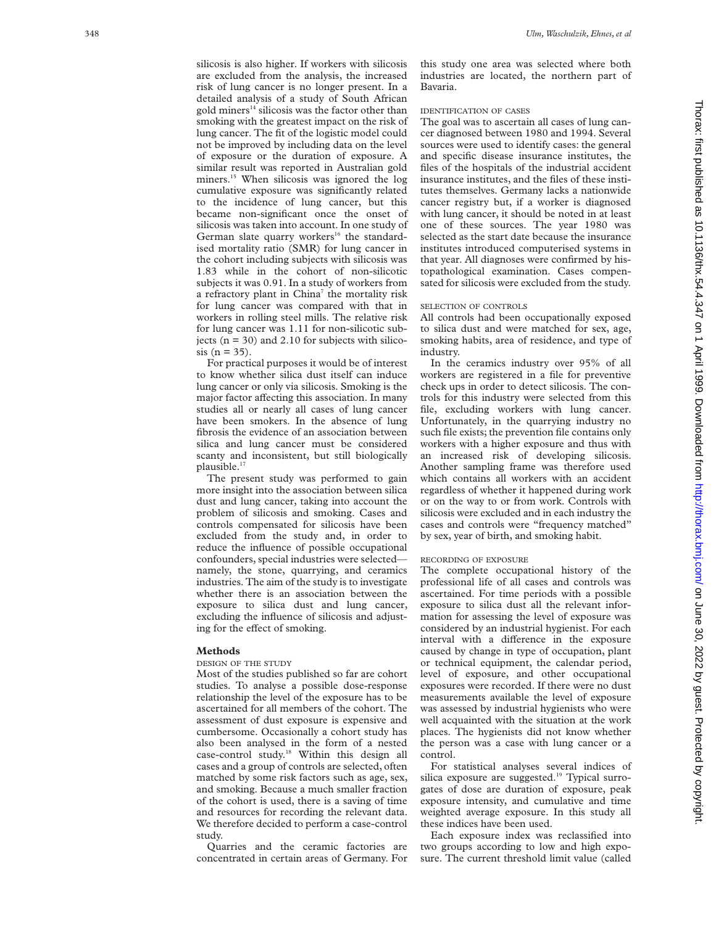silicosis is also higher. If workers with silicosis are excluded from the analysis, the increased risk of lung cancer is no longer present. In a detailed analysis of a study of South African gold miners $14$  silicosis was the factor other than smoking with the greatest impact on the risk of lung cancer. The fit of the logistic model could not be improved by including data on the level of exposure or the duration of exposure. A similar result was reported in Australian gold miners.<sup>15</sup> When silicosis was ignored the log cumulative exposure was significantly related to the incidence of lung cancer, but this became non-significant once the onset of silicosis was taken into account. In one study of German slate quarry workers<sup>16</sup> the standardised mortality ratio (SMR) for lung cancer in the cohort including subjects with silicosis was 1.83 while in the cohort of non-silicotic subjects it was 0.91. In a study of workers from a refractory plant in China<sup>7</sup> the mortality risk for lung cancer was compared with that in workers in rolling steel mills. The relative risk for lung cancer was 1.11 for non-silicotic subjects  $(n = 30)$  and 2.10 for subjects with silico $sis (n = 35)$ .

For practical purposes it would be of interest to know whether silica dust itself can induce lung cancer or only via silicosis. Smoking is the major factor affecting this association. In many studies all or nearly all cases of lung cancer have been smokers. In the absence of lung fibrosis the evidence of an association between silica and lung cancer must be considered scanty and inconsistent, but still biologically plausible.<sup>17</sup>

The present study was performed to gain more insight into the association between silica dust and lung cancer, taking into account the problem of silicosis and smoking. Cases and controls compensated for silicosis have been excluded from the study and, in order to reduce the influence of possible occupational confounders, special industries were selected namely, the stone, quarrying, and ceramics industries. The aim of the study is to investigate whether there is an association between the exposure to silica dust and lung cancer, excluding the influence of silicosis and adjusting for the effect of smoking.

# **Methods**

#### DESIGN OF THE STUDY

Most of the studies published so far are cohort studies. To analyse a possible dose-response relationship the level of the exposure has to be ascertained for all members of the cohort. The assessment of dust exposure is expensive and cumbersome. Occasionally a cohort study has also been analysed in the form of a nested case-control study.18 Within this design all cases and a group of controls are selected, often matched by some risk factors such as age, sex, and smoking. Because a much smaller fraction of the cohort is used, there is a saving of time and resources for recording the relevant data. We therefore decided to perform a case-control study.

Quarries and the ceramic factories are concentrated in certain areas of Germany. For this study one area was selected where both industries are located, the northern part of Bavaria.

# IDENTIFICATION OF CASES

The goal was to ascertain all cases of lung cancer diagnosed between 1980 and 1994. Several sources were used to identify cases: the general and specific disease insurance institutes, the files of the hospitals of the industrial accident insurance institutes, and the files of these institutes themselves. Germany lacks a nationwide cancer registry but, if a worker is diagnosed with lung cancer, it should be noted in at least one of these sources. The year 1980 was selected as the start date because the insurance institutes introduced computerised systems in that year. All diagnoses were confirmed by histopathological examination. Cases compensated for silicosis were excluded from the study.

# SELECTION OF CONTROLS

All controls had been occupationally exposed to silica dust and were matched for sex, age, smoking habits, area of residence, and type of industry.

In the ceramics industry over 95% of all workers are registered in a file for preventive check ups in order to detect silicosis. The controls for this industry were selected from this file, excluding workers with lung cancer. Unfortunately, in the quarrying industry no such file exists; the prevention file contains only workers with a higher exposure and thus with an increased risk of developing silicosis. Another sampling frame was therefore used which contains all workers with an accident regardless of whether it happened during work or on the way to or from work. Controls with silicosis were excluded and in each industry the cases and controls were "frequency matched" by sex, year of birth, and smoking habit.

#### RECORDING OF EXPOSURE

The complete occupational history of the professional life of all cases and controls was ascertained. For time periods with a possible exposure to silica dust all the relevant information for assessing the level of exposure was considered by an industrial hygienist. For each interval with a difference in the exposure caused by change in type of occupation, plant or technical equipment, the calendar period, level of exposure, and other occupational exposures were recorded. If there were no dust measurements available the level of exposure was assessed by industrial hygienists who were well acquainted with the situation at the work places. The hygienists did not know whether the person was a case with lung cancer or a control.

For statistical analyses several indices of silica exposure are suggested.<sup>19</sup> Typical surrogates of dose are duration of exposure, peak exposure intensity, and cumulative and time weighted average exposure. In this study all these indices have been used.

Each exposure index was reclassified into two groups according to low and high exposure. The current threshold limit value (called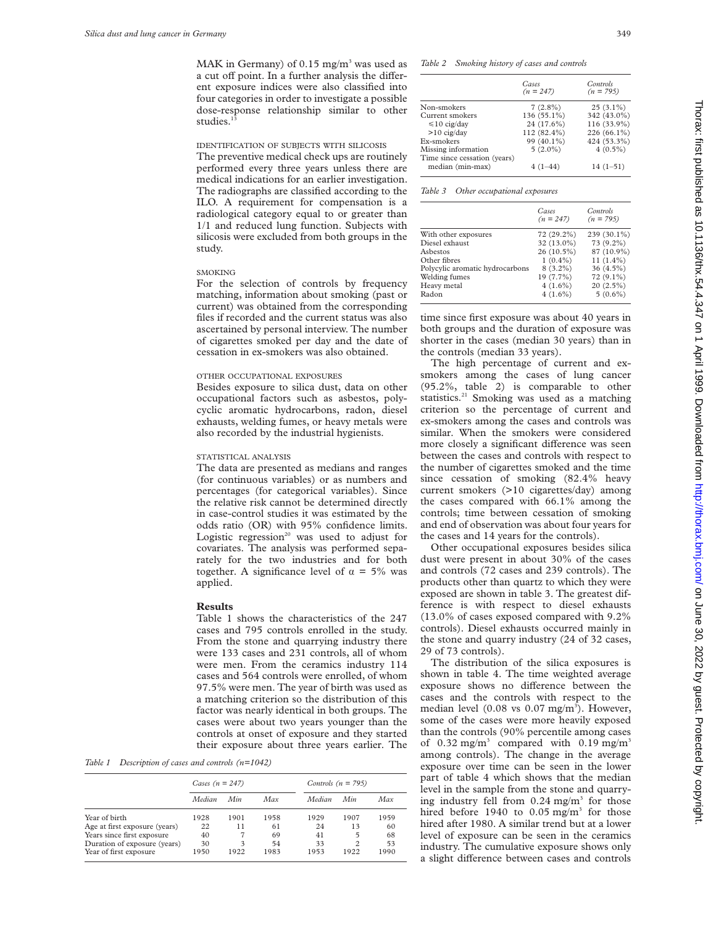MAK in Germany) of  $0.15$  mg/m<sup>3</sup> was used as a cut off point. In a further analysis the different exposure indices were also classified into four categories in order to investigate a possible dose-response relationship similar to other studies.<sup>13</sup>

IDENTIFICATION OF SUBJECTS WITH SILICOSIS

The preventive medical check ups are routinely performed every three years unless there are medical indications for an earlier investigation. The radiographs are classified according to the ILO. A requirement for compensation is a radiological category equal to or greater than 1/1 and reduced lung function. Subjects with silicosis were excluded from both groups in the study.

# SMOKING

For the selection of controls by frequency matching, information about smoking (past or current) was obtained from the corresponding files if recorded and the current status was also ascertained by personal interview. The number of cigarettes smoked per day and the date of cessation in ex-smokers was also obtained.

#### OTHER OCCUPATIONAL EXPOSURES

Besides exposure to silica dust, data on other occupational factors such as asbestos, polycyclic aromatic hydrocarbons, radon, diesel exhausts, welding fumes, or heavy metals were also recorded by the industrial hygienists.

# STATISTICAL ANALYSIS

The data are presented as medians and ranges (for continuous variables) or as numbers and percentages (for categorical variables). Since the relative risk cannot be determined directly in case-control studies it was estimated by the odds ratio (OR) with 95% confidence limits. Logistic regression<sup>20</sup> was used to adjust for covariates. The analysis was performed separately for the two industries and for both together. A significance level of  $\alpha = 5\%$  was applied.

### **Results**

Table 1 shows the characteristics of the 247 cases and 795 controls enrolled in the study. From the stone and quarrying industry there were 133 cases and 231 controls, all of whom were men. From the ceramics industry 114 cases and 564 controls were enrolled, of whom 97.5% were men. The year of birth was used as a matching criterion so the distribution of this factor was nearly identical in both groups. The cases were about two years younger than the controls at onset of exposure and they started their exposure about three years earlier. The

*Table 1 Description of cases and controls (n=1042)*

|                               | Cases $(n = 247)$ |      |      | Controls $(n = 795)$ |      |      |
|-------------------------------|-------------------|------|------|----------------------|------|------|
|                               | Median            | Min  | Max  | Median               | Min  | Max  |
| Year of birth                 | 1928              | 1901 | 1958 | 1929                 | 1907 | 1959 |
| Age at first exposure (years) | 22                | 11   | 61   | 24                   | 13   | 60   |
| Years since first exposure    | 40                |      | 69   | 41                   | 5    | 68   |
| Duration of exposure (years)  | 30                | 3    | 54   | 33                   | 2    | 53   |
| Year of first exposure        | 1950              | 1922 | 1983 | 1953                 | 1922 | 1990 |

*Table 2 Smoking history of cases and controls*

|                                                  | Cases<br>$(n = 247)$ | Controls<br>$(n = 795)$ |
|--------------------------------------------------|----------------------|-------------------------|
| Non-smokers                                      | $7(2.8\%)$           | $25(3.1\%)$             |
| Current smokers                                  | 136 (55.1%)          | 342 (43.0%)             |
| $\leq 10$ cig/day                                | 24 (17.6%)           | 116 (33.9%)             |
| $>10$ cig/day                                    | 112 (82.4%)          | 226 (66.1%)             |
| Ex-smokers                                       | 99 (40.1%)           | 424 (53.3%)             |
| Missing information                              | $5(2.0\%)$           | $4(0.5\%)$              |
| Time since cessation (years)<br>median (min-max) | $4(1-44)$            | $14(1-51)$              |
|                                                  |                      |                         |

*Table 3 Other occupational exposures*

|                                 | Cases<br>$(n = 247)$ | Controls<br>$(n = 795)$ |
|---------------------------------|----------------------|-------------------------|
| With other exposures            | 72 (29.2%)           | 239 (30.1%)             |
| Diesel exhaust                  | 32 (13.0%)           | 73 (9.2%)               |
| Asbestos                        | 26 (10.5%)           | 87 (10.9%)              |
| Other fibres                    | $1(0.4\%)$           | $11(1.4\%)$             |
| Polycylic aromatic hydrocarbons | $8(3.2\%)$           | $36(4.5\%)$             |
| Welding fumes                   | 19 (7.7%)            | $72(9.1\%)$             |
| Heavy metal                     | $4(1.6\%)$           | $20(2.5\%)$             |
| Radon                           | $4(1.6\%)$           | $5(0.6\%)$              |

time since first exposure was about 40 years in both groups and the duration of exposure was shorter in the cases (median 30 years) than in the controls (median 33 years).

The high percentage of current and exsmokers among the cases of lung cancer (95.2%, table 2) is comparable to other statistics.<sup>21</sup> Smoking was used as a matching criterion so the percentage of current and ex-smokers among the cases and controls was similar. When the smokers were considered more closely a significant difference was seen between the cases and controls with respect to the number of cigarettes smoked and the time since cessation of smoking (82.4% heavy current smokers (>10 cigarettes/day) among the cases compared with 66.1% among the controls; time between cessation of smoking and end of observation was about four years for the cases and 14 years for the controls).

Other occupational exposures besides silica dust were present in about 30% of the cases and controls (72 cases and 239 controls). The products other than quartz to which they were exposed are shown in table 3. The greatest difference is with respect to diesel exhausts (13.0% of cases exposed compared with 9.2% controls). Diesel exhausts occurred mainly in the stone and quarry industry (24 of 32 cases, 29 of 73 controls).

The distribution of the silica exposures is shown in table 4. The time weighted average exposure shows no difference between the cases and the controls with respect to the median level (0.08 vs 0.07 mg/m<sup>3</sup>). However, some of the cases were more heavily exposed than the controls (90% percentile among cases of  $0.32 \text{ mg/m}^3$  compared with  $0.19 \text{ mg/m}^3$ among controls). The change in the average exposure over time can be seen in the lower part of table 4 which shows that the median level in the sample from the stone and quarrying industry fell from  $0.24$  mg/m<sup>3</sup> for those hired before 1940 to  $0.05$  mg/m<sup>3</sup> for those hired after 1980. A similar trend but at a lower level of exposure can be seen in the ceramics industry. The cumulative exposure shows only a slight difference between cases and controls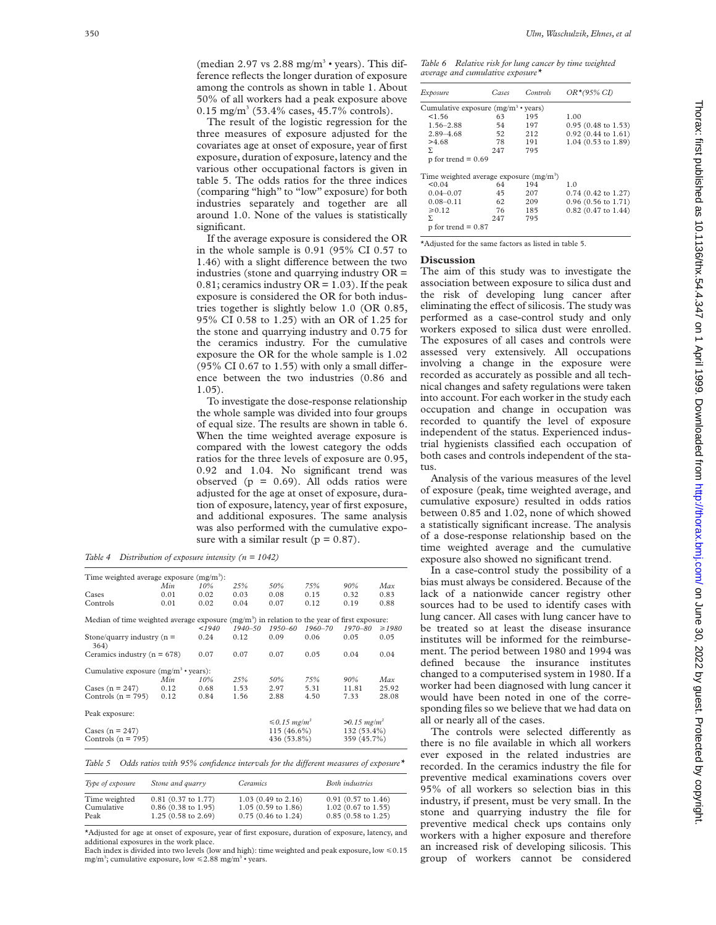(median 2.97 vs 2.88 mg/m<sup>3</sup> · years). This difference reflects the longer duration of exposure among the controls as shown in table 1. About 50% of all workers had a peak exposure above  $0.15$  mg/m<sup>3</sup> (53.4% cases, 45.7% controls).

The result of the logistic regression for the three measures of exposure adjusted for the covariates age at onset of exposure, year of first exposure, duration of exposure, latency and the various other occupational factors is given in table 5. The odds ratios for the three indices (comparing "high" to "low" exposure) for both industries separately and together are all around 1.0. None of the values is statistically significant.

If the average exposure is considered the OR in the whole sample is 0.91 (95% CI 0.57 to 1.46) with a slight difference between the two industries (stone and quarrying industry OR =  $0.81$ ; ceramics industry OR = 1.03). If the peak exposure is considered the OR for both industries together is slightly below 1.0 (OR 0.85, 95% CI 0.58 to 1.25) with an OR of 1.25 for the stone and quarrying industry and 0.75 for the ceramics industry. For the cumulative exposure the OR for the whole sample is 1.02  $(95\% \text{ CI } 0.67 \text{ to } 1.55)$  with only a small difference between the two industries (0.86 and 1.05).

To investigate the dose-response relationship the whole sample was divided into four groups of equal size. The results are shown in table 6. When the time weighted average exposure is compared with the lowest category the odds ratios for the three levels of exposure are 0.95, 0.92 and 1.04. No significant trend was observed ( $p = 0.69$ ). All odds ratios were adjusted for the age at onset of exposure, duration of exposure, latency, year of first exposure, and additional exposures. The same analysis was also performed with the cumulative exposure with a similar result ( $p = 0.87$ ).

*Table 4 Distribution of exposure intensity (n = 1042)*

| Min                             | 10%  | 25%                                                         | 50%                                                | 75%         | 90%                           | Max                                                                                           |
|---------------------------------|------|-------------------------------------------------------------|----------------------------------------------------|-------------|-------------------------------|-----------------------------------------------------------------------------------------------|
| 0.01                            | 0.02 | 0.03                                                        | 0.08                                               | 0.15        | 0.32                          | 0.83                                                                                          |
| 0.01                            | 0.02 | 0.04                                                        | 0.07                                               | 0.12        | 0.19                          | 0.88                                                                                          |
|                                 |      |                                                             |                                                    |             |                               |                                                                                               |
|                                 | 1940 | $1940 - 50$                                                 | $1950 - 60$                                        | $1960 - 70$ | 1970-80                       | $\geq 1980$                                                                                   |
| Stone/quarry industry $(n =$    | 0.24 | 0.12                                                        | 0.09                                               | 0.06        | 0.05                          | 0.05                                                                                          |
| Ceramics industry ( $n = 678$ ) |      |                                                             | 0.07                                               | 0.05        | 0.04                          | 0.04                                                                                          |
|                                 |      |                                                             |                                                    |             |                               |                                                                                               |
| Min                             | 10%  | 25%                                                         | 50%                                                | 75%         | 90%                           | Max                                                                                           |
| 0.12                            | 0.68 | 1.53                                                        | 2.97                                               | 5.31        | 11.81                         | 25.92                                                                                         |
| 0.12                            | 0.84 | 1.56                                                        | 2.88                                               | 4.50        | 7.33                          | 28.08                                                                                         |
|                                 |      |                                                             |                                                    |             |                               |                                                                                               |
|                                 |      |                                                             |                                                    |             | $>0.15$ mg/m <sup>3</sup>     |                                                                                               |
| Cases $(n = 247)$               |      |                                                             | 115 (46.6%)                                        |             | 132 (53.4%)                   |                                                                                               |
| Controls ( $n = 795$ )          |      |                                                             | 436 (53.8%)                                        |             | 359 (45.7%)                   |                                                                                               |
|                                 |      | 0.07<br>Cumulative exposure $(mg/m^3 \cdot \text{years})$ : | Time weighted average exposure $(mg/m3)$ :<br>0.07 |             | $\leq 0.15$ mg/m <sup>3</sup> | Median of time weighted average exposure $(mg/m3)$ in relation to the year of first exposure: |

Table 5 Odds ratios with 95% confidence intervals for the different measures of exposure\*

| Type of exposure | Stone and quarry              | <i>Ceramics</i>               | <b>Both</b> industries        |
|------------------|-------------------------------|-------------------------------|-------------------------------|
| Time weighted    | $0.81(0.37 \text{ to } 1.77)$ | $1.03(0.49 \text{ to } 2.16)$ | $0.91(0.57 \text{ to } 1.46)$ |
| Cumulative       | $0.86$ (0.38 to 1.95)         | $1.05(0.59 \text{ to } 1.86)$ | $1.02$ (0.67 to 1.55)         |
| Peak             | 1.25 (0.58 to 2.69)           | $0.75(0.46 \text{ to } 1.24)$ | $0.85$ (0.58 to 1.25)         |

\*Adjusted for age at onset of exposure, year of first exposure, duration of exposure, latency, and additional exposures in the work place.

Each index is divided into two levels (low and high): time weighted and peak exposure, low  $\leq 0.15$ mg/m<sup>3</sup>; cumulative exposure, low  $\leq 2.88$  mg/m<sup>3</sup> · years.

*Table 6 Relative risk for lung cancer by time weighted average and cumulative exposure\**

| Exposure                                          | Cases | Controls | $OR*(95\% CI)$                |
|---------------------------------------------------|-------|----------|-------------------------------|
| Cumulative exposure $(mg/m^3 \cdot \text{years})$ |       |          |                               |
| 1.56                                              | 63    | 195      | 1.00                          |
| $1.56 - 2.88$                                     | 54    | 197      | $0.95$ (0.48 to 1.53)         |
| $2.89 - 4.68$                                     | 52    | 212      | $0.92(0.44 \text{ to } 1.61)$ |
| >4.68                                             | 78    | 191      | 1.04 (0.53 to 1.89)           |
| Σ                                                 | 247   | 795      |                               |
| $p$ for trend = 0.69                              |       |          |                               |
| Time weighted average exposure $(mg/m3)$          |       |          |                               |
| < 0.04                                            | 64    | 194      | 1.0                           |
| $0.04 - 0.07$                                     | 45    | 207      | $0.74$ (0.42 to 1.27)         |
| $0.08 - 0.11$                                     | 62    | 209      | $0.96(0.56 \text{ to } 1.71)$ |
| $\ge 0.12$                                        | 76    | 185      | $0.82$ (0.47 to 1.44)         |
| Σ.                                                | 247   | 795      |                               |
| $p$ for trend = $0.87$                            |       |          |                               |

\*Adjusted for the same factors as listed in table 5.

# **Discussion**

The aim of this study was to investigate the association between exposure to silica dust and the risk of developing lung cancer after eliminating the effect of silicosis. The study was performed as a case-control study and only workers exposed to silica dust were enrolled. The exposures of all cases and controls were assessed very extensively. All occupations involving a change in the exposure were recorded as accurately as possible and all technical changes and safety regulations were taken into account. For each worker in the study each occupation and change in occupation was recorded to quantify the level of exposure independent of the status. Experienced industrial hygienists classified each occupation of both cases and controls independent of the status.

Analysis of the various measures of the level of exposure (peak, time weighted average, and cumulative exposure) resulted in odds ratios between 0.85 and 1.02, none of which showed a statistically significant increase. The analysis of a dose-response relationship based on the time weighted average and the cumulative exposure also showed no significant trend.

In a case-control study the possibility of a bias must always be considered. Because of the lack of a nationwide cancer registry other sources had to be used to identify cases with lung cancer. All cases with lung cancer have to be treated so at least the disease insurance institutes will be informed for the reimbursement. The period between 1980 and 1994 was defined because the insurance institutes changed to a computerised system in 1980. If a worker had been diagnosed with lung cancer it would have been noted in one of the corresponding files so we believe that we had data on all or nearly all of the cases.

The controls were selected differently as there is no file available in which all workers ever exposed in the related industries are recorded. In the ceramics industry the file for preventive medical examinations covers over 95% of all workers so selection bias in this industry, if present, must be very small. In the stone and quarrying industry the file for preventive medical check ups contains only workers with a higher exposure and therefore an increased risk of developing silicosis. This group of workers cannot be considered

 on June 30, 2022 by guest. Protected by copyright. <http://thorax.bmj.com/> Thorax: first published as 10.1136/thx.54.4.347 on 1 April 1999. Downloaded from Thorax: first published as 10.1136/thx.54.4.347 on 1 April 1999. Downloaded from http://thorax.bmj.com/ on June 30, 2022 by guest. Protected by copyright